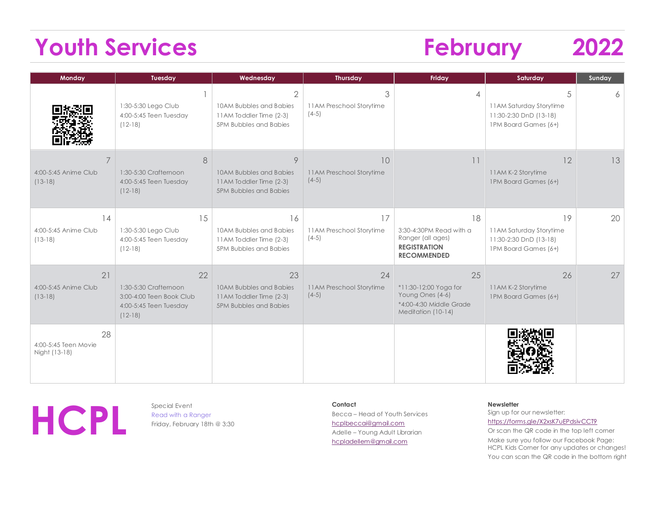# **Youth Services February 2022**

| Monday                                      | Tuesday                                                                                        | Wednesday                                                                                 | <b>Thursday</b>                           | Friday                                                                                           | Saturday                                                                        | Sunday |
|---------------------------------------------|------------------------------------------------------------------------------------------------|-------------------------------------------------------------------------------------------|-------------------------------------------|--------------------------------------------------------------------------------------------------|---------------------------------------------------------------------------------|--------|
|                                             | 1:30-5:30 Lego Club<br>4:00-5:45 Teen Tuesday<br>$(12-18)$                                     | 2<br>10AM Bubbles and Babies<br>11AM Toddler Time (2-3)<br>5PM Bubbles and Babies         | 3<br>11AM Preschool Storytime<br>$(4-5)$  | 4                                                                                                | 5<br>11AM Saturday Storytime<br>11:30-2:30 DnD (13-18)<br>1PM Board Games (6+)  | 6      |
| 4:00-5:45 Anime Club<br>$(13-18)$           | 8<br>1:30-5:30 Crafternoon<br>4:00-5:45 Teen Tuesday<br>$(12-18)$                              | 9<br>10AM Bubbles and Babies<br>11AM Toddler Time (2-3)<br><b>5PM Bubbles and Babies</b>  | 10<br>11AM Preschool Storytime<br>$(4-5)$ | 11                                                                                               | 12<br>11AM K-2 Storytime<br>1PM Board Games (6+)                                | 13     |
| 14<br>4:00-5:45 Anime Club<br>$(13-18)$     | 15<br>1:30-5:30 Lego Club<br>4:00-5:45 Teen Tuesday<br>$(12-18)$                               | 16<br>10AM Bubbles and Babies<br>11AM Toddler Time (2-3)<br>5PM Bubbles and Babies        | 17<br>11AM Preschool Storytime<br>$(4-5)$ | 18<br>3:30-4:30PM Read with a<br>Ranger (all ages)<br><b>REGISTRATION</b><br><b>RECOMMENDED</b>  | 19<br>11AM Saturday Storytime<br>11:30-2:30 DnD (13-18)<br>1PM Board Games (6+) | 20     |
| 21<br>4:00-5:45 Anime Club<br>$(13-18)$     | 22<br>1:30-5:30 Crafternoon<br>3:00-4:00 Teen Book Club<br>4:00-5:45 Teen Tuesday<br>$(12-18)$ | 23<br>10AM Bubbles and Babies<br>11AM Toddler Time (2-3)<br><b>5PM Bubbles and Babies</b> | 24<br>11AM Preschool Storytime<br>$(4-5)$ | 25<br>*11:30-12:00 Yoga for<br>Young Ones (4-6)<br>*4:00-4:30 Middle Grade<br>Meditation (10-14) | 26<br>11AM K-2 Storytime<br>1PM Board Games (6+)                                | 27     |
| 28<br>4:00-5:45 Teen Movie<br>Night (13-18) |                                                                                                |                                                                                           |                                           |                                                                                                  |                                                                                 |        |



Read with a Ranger Friday, February 18th @ 3:30 **Contact** Becca – Head of Youth Services

[hcplbeccai@gmail.com](mailto:hcplbeccai@gmail.com) Adelle – Young Adult Librarian [hcpladellem@gmail.com](mailto:hcpladellem@gmail.com)

#### **Newsletter**

Sign up for our newsletter: https://forms.gle/X2xsK7uEPdsivCCT9

Or scan the QR code in the top left corner Make sure you follow our Facebook Page: HCPL Kids Corner for any updates or changes! You can scan the QR code in the bottom right